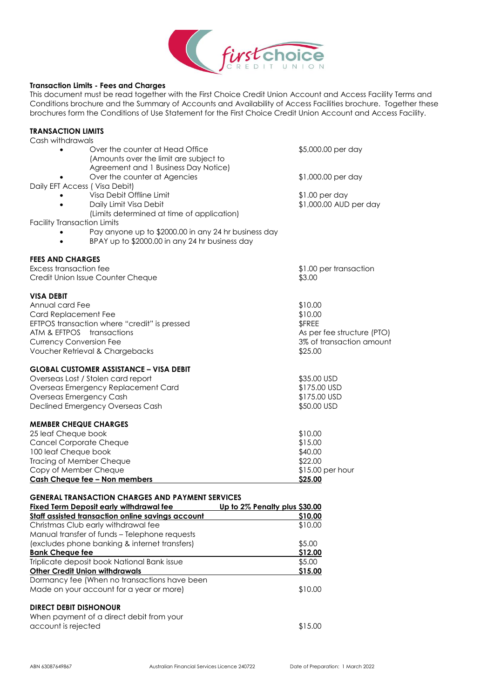

## **Transaction Limits - Fees and Charges**

This document must be read together with the First Choice Credit Union Account and Access Facility Terms and Conditions brochure and the Summary of Accounts and Availability of Access Facilities brochure. Together these brochures form the Conditions of Use Statement for the First Choice Credit Union Account and Access Facility.

| TRANSACTION LIMITS                                                                                     |                                  |
|--------------------------------------------------------------------------------------------------------|----------------------------------|
| Cash withdrawals                                                                                       |                                  |
| Over the counter at Head Office<br>(Amounts over the limit are subject to                              | \$5,000.00 per day               |
| Agreement and 1 Business Day Notice)                                                                   |                                  |
| Over the counter at Agencies                                                                           | \$1,000.00 per day               |
| Daily EFT Access ( Visa Debit)                                                                         |                                  |
| Visa Debit Offline Limit                                                                               | $$1.00$ per day                  |
| Daily Limit Visa Debit                                                                                 | \$1,000.00 AUD per day           |
| (Limits determined at time of application)                                                             |                                  |
| <b>Facility Transaction Limits</b>                                                                     |                                  |
| Pay anyone up to \$2000.00 in any 24 hr business day<br>BPAY up to \$2000.00 in any 24 hr business day |                                  |
|                                                                                                        |                                  |
| <b>FEES AND CHARGES</b><br>Excess transaction fee                                                      |                                  |
| Credit Union Issue Counter Cheque                                                                      | \$1.00 per transaction<br>\$3.00 |
|                                                                                                        |                                  |
| <b>VISA DEBIT</b>                                                                                      |                                  |
| Annual card Fee                                                                                        | \$10.00                          |
| Card Replacement Fee                                                                                   | \$10.00                          |
| EFTPOS transaction where "credit" is pressed                                                           | \$FREE                           |
| ATM & EFTPOS transactions                                                                              | As per fee structure (PTO)       |
| <b>Currency Conversion Fee</b>                                                                         | 3% of transaction amount         |
| Voucher Retrieval & Chargebacks                                                                        | \$25.00                          |
| <b>GLOBAL CUSTOMER ASSISTANCE – VISA DEBIT</b>                                                         |                                  |
| Overseas Lost / Stolen card report                                                                     | \$35.00 USD                      |
| Overseas Emergency Replacement Card                                                                    | \$175.00 USD                     |
| Overseas Emergency Cash                                                                                | \$175.00 USD                     |
| Declined Emergency Overseas Cash                                                                       | \$50.00 USD                      |
| <b>MEMBER CHEQUE CHARGES</b>                                                                           |                                  |
| 25 leaf Cheque book                                                                                    | \$10.00                          |
| Cancel Corporate Cheque                                                                                | \$15.00                          |
| 100 leaf Cheque book                                                                                   | \$40.00                          |
| Tracing of Member Cheque                                                                               | \$22.00                          |
| Copy of Member Cheque                                                                                  | \$15.00 per hour                 |
| Cash Cheque fee - Non members                                                                          | \$25.00                          |
| GENERAL TRANSACTION CHARGES AND PAYMENT SERVICES                                                       |                                  |
| Fixed Term Deposit early withdrawal fee<br>Up to 2% Penalty plus \$30.00                               |                                  |
| Staff assisted transaction online savings account                                                      | \$10.00                          |
| Christmas Club early withdrawal fee                                                                    | \$10.00                          |
| Manual transfer of funds - Telephone requests                                                          |                                  |
| (excludes phone banking & internet transfers)                                                          | \$5.00                           |
| <b>Bank Cheque fee</b>                                                                                 | \$12.00                          |
| Triplicate deposit book National Bank issue                                                            | \$5.00                           |
| <b>Other Credit Union withdrawals</b>                                                                  | \$15.00                          |
| Dormancy fee (When no transactions have been                                                           |                                  |
| Made on your account for a year or more)                                                               | \$10.00                          |
| <b>DIRECT DEBIT DISHONOUR</b>                                                                          |                                  |

When payment of a direct debit from your account is rejected \$15.00